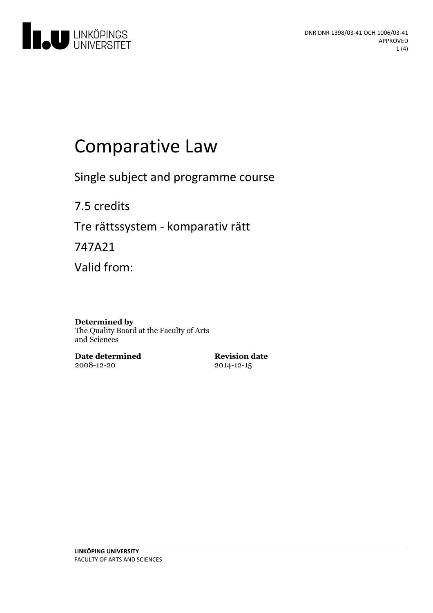

# Comparative Law

Single subject and programme course

7.5 credits Tre rättssystem - komparativ rätt

747A21

Valid from:

#### **Determined by**

The Quality Board at the Faculty of Arts and Sciences

**Date determined** 2008-12-20

**Revision date** 2014-12-15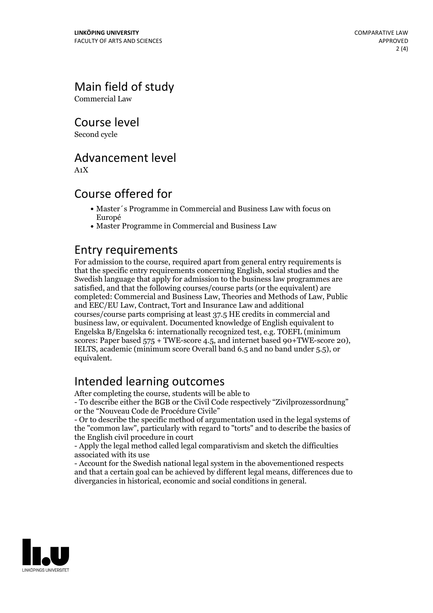Main field of study

Commercial Law

Course level

Second cycle

### Advancement level

A1X

### Course offered for

- Master´s Programme in Commercial and Business Law with focus on Europé
- Master Programme in Commercial and Business Law

### Entry requirements

For admission to the course, required apart from general entry requirements is that the specific entry requirements concerning English, social studies and the Swedish language that apply for admission to the business law programmes are satisfied, and that the following courses/course parts (or the equivalent) are completed: Commercial and Business Law, Theories and Methods of Law, Public and EEC/EU Law, Contract, Tort and Insurance Law and additional courses/course parts comprising at least 37.5 HE credits in commercial and business law, or equivalent. Documented knowledge of English equivalent to Engelska B/Engelska 6: internationally recognized test, e.g. TOEFL (minimum scores: Paper based <sup>575</sup> <sup>+</sup> TWE-score 4.5, and internet based 90+TWE-score 20), IELTS, academic (minimum score Overall band 6.5 and no band under 5.5), or equivalent.

## Intended learning outcomes

After completing the course, students will be able to

- To describe either the BGB or the Civil Code respectively "Zivilprozessordnung" or the "Nouveau Code de Procédure Civile"

- Or to describe the specific method of argumentation used in the legal systems of the "common law", particularly with regard to "torts" and to describe the basics of the English civil procedure in court - Apply the legal method called legal comparativism and sketch the difficulties

associated with its use

- Account for the Swedish national legal system in the abovementioned respects and that a certain goal can be achieved by different legal means, differences due to divergancies in historical, economic and social conditions in general.

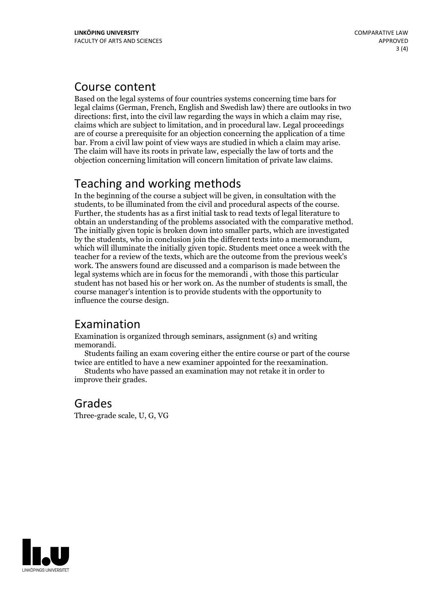#### Course content

Based on the legal systems of four countries systems concerning time bars for legal claims (German, French, English and Swedish law) there are outlooks in two directions: first, into the civil law regarding the ways in which <sup>a</sup> claim may rise, claims which are subject to limitation, and in procedural law. Legal proceedings are of course a prerequisite for an objection concerning the application of a time bar. From <sup>a</sup> civil law point of view ways are studied in which <sup>a</sup> claim may arise. The claim will have its roots in private law, especially the law of torts and the objection concerning limitation will concern limitation of private law claims.

## Teaching and working methods

In the beginning of the course a subject will be given, in consultation with the students, to be illuminated from the civil and procedural aspects of the course. Further, the students has as a first initial task to read texts of legal literature to obtain an understanding of the problems associated with the comparative method. The initially given topic is broken down into smaller parts, which are investigated by the students, who in conclusion join the different texts into <sup>a</sup> memorandum, which will illuminate the initially given topic. Students meet once <sup>a</sup> week with the teacher for a review of the texts, which are the outcome from the previous week's work. The answers found are discussed and a comparison is made between the legal systems which are in focus for the memorandi , with those this particular student has not based his or her work on. As the number of students is small, the course manager's intention is to provide students with the opportunity to influence the course design.

## Examination

Examination is organized through seminars, assignment (s) and writing

memorandi. Students failing an exam covering either the entire course or part of the course twice are entitled to have <sup>a</sup> new examiner appointed for the reexamination. Students who have passed an examination may not retake it in order to

improve their grades.

## Grades

Three-grade scale, U, G, VG